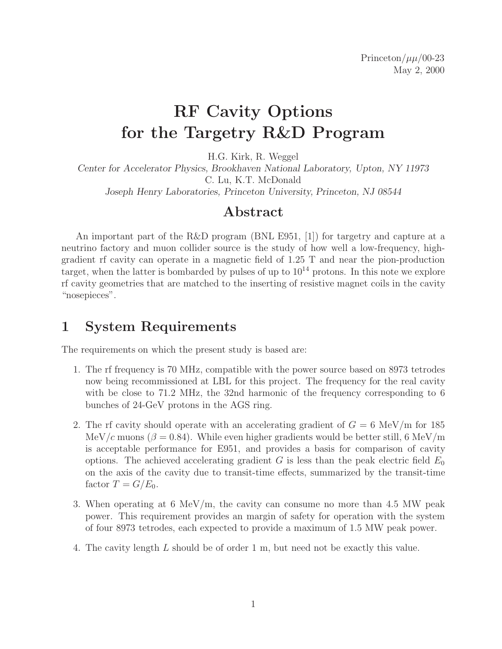# **RF Cavity Options for the Targetry R&D Program**

H.G. Kirk, R. Weggel

*Center for Accelerator Physics, Brookhaven National Laboratory, Upton, NY 11973* C. Lu, K.T. McDonald *Joseph Henry Laboratories, Princeton University, Princeton, NJ 08544*

### **Abstract**

An important part of the R&D program (BNL E951, [1]) for targetry and capture at a neutrino factory and muon collider source is the study of how well a low-frequency, highgradient rf cavity can operate in a magnetic field of 1.25 T and near the pion-production target, when the latter is bombarded by pulses of up to  $10^{14}$  protons. In this note we explore rf cavity geometries that are matched to the inserting of resistive magnet coils in the cavity "nosepieces".

# **1 System Requirements**

The requirements on which the present study is based are:

- 1. The rf frequency is 70 MHz, compatible with the power source based on 8973 tetrodes now being recommissioned at LBL for this project. The frequency for the real cavity with be close to 71.2 MHz, the 32nd harmonic of the frequency corresponding to 6 bunches of 24-GeV protons in the AGS ring.
- 2. The rf cavity should operate with an accelerating gradient of  $G = 6$  MeV/m for 185 MeV/c muons ( $\beta = 0.84$ ). While even higher gradients would be better still, 6 MeV/m is acceptable performance for E951, and provides a basis for comparison of cavity options. The achieved accelerating gradient G is less than the peak electric field  $E_0$ on the axis of the cavity due to transit-time effects, summarized by the transit-time factor  $T = G/E_0$ .
- 3. When operating at 6 MeV/m, the cavity can consume no more than 4.5 MW peak power. This requirement provides an margin of safety for operation with the system of four 8973 tetrodes, each expected to provide a maximum of 1.5 MW peak power.
- 4. The cavity length L should be of order 1 m, but need not be exactly this value.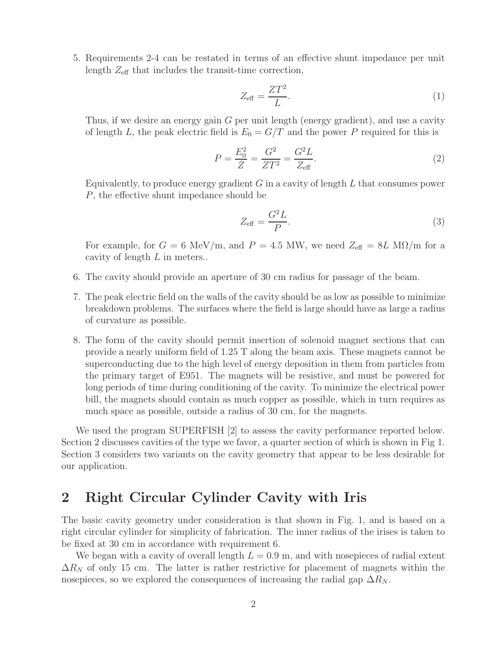5. Requirements 2-4 can be restated in terms of an effective shunt impedance per unit length  $Z_{\text{eff}}$  that includes the transit-time correction,

$$
Z_{\text{eff}} = \frac{ZT^2}{L}.\tag{1}
$$

Thus, if we desire an energy gain G per unit length (energy gradient), and use a cavity of length L, the peak electric field is  $E_0 = G/T$  and the power P required for this is

$$
P = \frac{E_0^2}{Z} = \frac{G^2}{ZT^2} = \frac{G^2L}{Z_{\text{eff}}}.
$$
\n(2)

Equivalently, to produce energy gradient  $G$  in a cavity of length  $L$  that consumes power P, the effective shunt impedance should be

$$
Z_{\text{eff}} = \frac{G^2 L}{P}.\tag{3}
$$

For example, for  $G = 6$  MeV/m, and  $P = 4.5$  MW, we need  $Z_{\text{eff}} = 8L$  M $\Omega/m$  for a cavity of length L in meters..

- 6. The cavity should provide an aperture of 30 cm radius for passage of the beam.
- 7. The peak electric field on the walls of the cavity should be as low as possible to minimize breakdown problems. The surfaces where the field is large should have as large a radius of curvature as possible.
- 8. The form of the cavity should permit insertion of solenoid magnet sections that can provide a nearly uniform field of 1.25 T along the beam axis. These magnets cannot be superconducting due to the high level of energy deposition in them from particles from the primary target of E951. The magnets will be resistive, and must be powered for long periods of time during conditioning of the cavity. To minimize the electrical power bill, the magnets should contain as much copper as possible, which in turn requires as much space as possible, outside a radius of 30 cm, for the magnets.

We used the program SUPERFISH [2] to assess the cavity performance reported below. Section 2 discusses cavities of the type we favor, a quarter section of which is shown in Fig 1. Section 3 considers two variants on the cavity geometry that appear to be less desirable for our application.

#### **2 Right Circular Cylinder Cavity with Iris**

The basic cavity geometry under consideration is that shown in Fig. 1, and is based on a right circular cylinder for simplicity of fabrication. The inner radius of the irises is taken to be fixed at 30 cm in accordance with requirement 6.

We began with a cavity of overall length  $L = 0.9$  m, and with nosepieces of radial extent  $\Delta R_N$  of only 15 cm. The latter is rather restrictive for placement of magnets within the nosepieces, so we explored the consequences of increasing the radial gap  $\Delta R_N$ .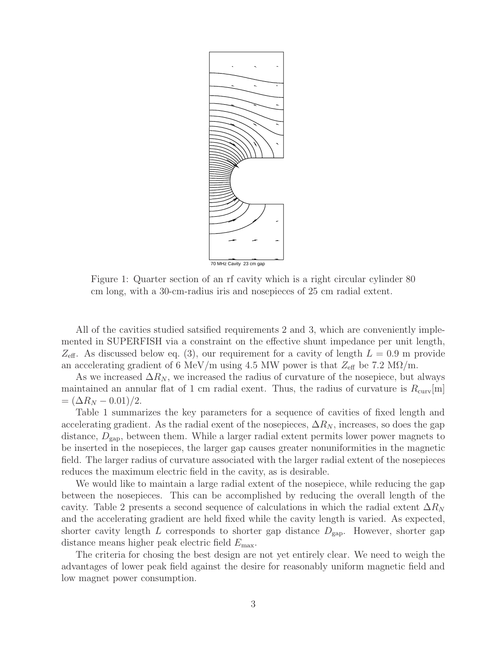

Figure 1: Quarter section of an rf cavity which is a right circular cylinder 80 cm long, with a 30-cm-radius iris and nosepieces of 25 cm radial extent.

All of the cavities studied satsified requirements 2 and 3, which are conveniently implemented in SUPERFISH via a constraint on the effective shunt impedance per unit length,  $Z_{\text{eff}}$ . As discussed below eq. (3), our requirement for a cavity of length  $L = 0.9$  m provide an accelerating gradient of 6 MeV/m using 4.5 MW power is that  $Z_{\text{eff}}$  be 7.2 M $\Omega$ /m.

As we increased  $\Delta R_N$ , we increased the radius of curvature of the nosepiece, but always maintained an annular flat of 1 cm radial exent. Thus, the radius of curvature is  $R_{\text{curv}}[m]$  $= (\Delta R_N - 0.01)/2.$ 

Table 1 summarizes the key parameters for a sequence of cavities of fixed length and accelerating gradient. As the radial exent of the nosepieces,  $\Delta R_N$ , increases, so does the gap distance,  $D_{\text{gap}}$ , between them. While a larger radial extent permits lower power magnets to be inserted in the nosepieces, the larger gap causes greater nonuniformities in the magnetic field. The larger radius of curvature associated with the larger radial extent of the nosepieces reduces the maximum electric field in the cavity, as is desirable.

We would like to maintain a large radial extent of the nosepiece, while reducing the gap between the nosepieces. This can be accomplished by reducing the overall length of the cavity. Table 2 presents a second sequence of calculations in which the radial extent  $\Delta R_N$ and the accelerating gradient are held fixed while the cavity length is varied. As expected, shorter cavity length L corresponds to shorter gap distance  $D_{\text{gap}}$ . However, shorter gap distance means higher peak electric field  $E_{\text{max}}$ .

The criteria for chosing the best design are not yet entirely clear. We need to weigh the advantages of lower peak field against the desire for reasonably uniform magnetic field and low magnet power consumption.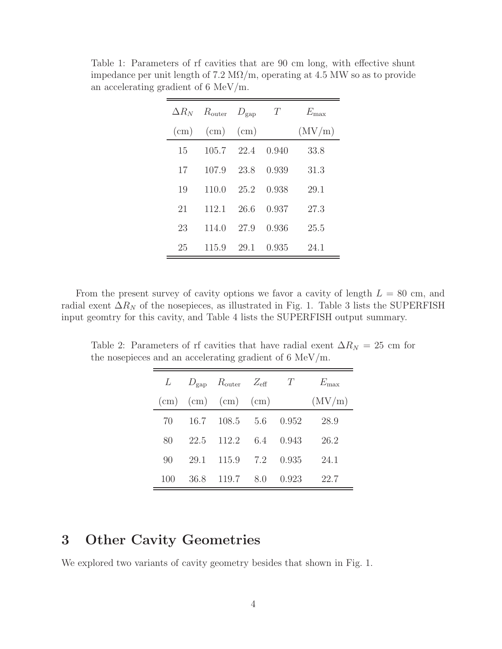|           | $\Delta R_N$ $R_{\text{outer}}$ $D_{\text{gap}}$ |           | T     | $E_{\rm max}$ |
|-----------|--------------------------------------------------|-----------|-------|---------------|
| $\rm(cm)$ | (cm)                                             | $\rm(cm)$ |       | (MV/m)        |
| 15        | 105.7                                            | 22.4      | 0.940 | 33.8          |
| 17        | 107.9                                            | 23.8      | 0.939 | 31.3          |
| 19        | 110.0                                            | 25.2      | 0.938 | 29.1          |
| 21        | 112.1                                            | 26.6      | 0.937 | 27.3          |
| 23        | 114.0                                            | 27.9      | 0.936 | 25.5          |
| 25        | 115.9                                            | 29.1      | 0.935 | 24.1          |

Table 1: Parameters of rf cavities that are 90 cm long, with effective shunt impedance per unit length of  $7.2 \text{ M}\Omega/\text{m}$ , operating at 4.5 MW so as to provide an accelerating gradient of 6 MeV/m.

From the present survey of cavity options we favor a cavity of length  $L = 80$  cm, and radial exent  $\Delta R_N$  of the nosepieces, as illustrated in Fig. 1. Table 3 lists the SUPERFISH input geomtry for this cavity, and Table 4 lists the SUPERFISH output summary.

Table 2: Parameters of rf cavities that have radial exent  $\Delta R_N = 25$  cm for the nosepieces and an accelerating gradient of 6 MeV/m.

|     |      | L $D_{\text{gap}}$ $R_{\text{outer}}$ $Z_{\text{eff}}$ |     | T     | $E_{\rm max}$ |
|-----|------|--------------------------------------------------------|-----|-------|---------------|
|     |      | $(cm)$ (cm) (cm) (cm)                                  |     |       | (MV/m)        |
| 70  | 16.7 | 108.5 5.6                                              |     | 0.952 | 28.9          |
| 80  | 22.5 | 112.2                                                  | 6.4 | 0.943 | 26.2          |
| 90  | 29.1 | 115.9                                                  | 7.2 | 0.935 | 24.1          |
| 100 | 36.8 | 119.7                                                  | 8.0 | 0.923 | 22.7          |

### **3 Other Cavity Geometries**

We explored two variants of cavity geometry besides that shown in Fig. 1.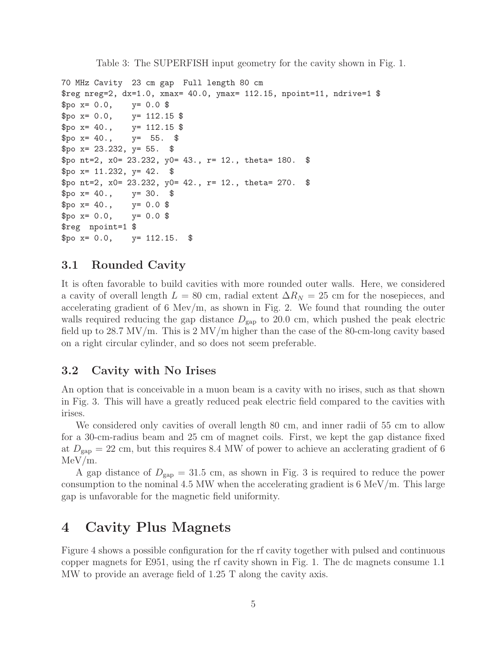Table 3: The SUPERFISH input geometry for the cavity shown in Fig. 1.

```
70 MHz Cavity 23 cm gap Full length 80 cm
$reg nreg=2, dx=1.0, xmax= 40.0, ymax= 112.15, npoint=11, ndrive=1 $
$po x= 0.0, y= 0.0 $$po x= 0.0, y= 112.15 $
$po x = 40., y = 112.15 $
$po x = 40., y = 55. $
$po x = 23.232, y = 55. $
$po nt=2, x0= 23.232, y0= 43., r= 12., theta= 180. $
$po x= 11.232, y= 42. $
$po nt=2, x0 = 23.232, y0 = 42., r = 12., theta= 270. $
$po x = 40., y = 30. $
$po x = 40., y = 0.0 $
$po x= 0.0, y= 0.0 $$reg npoint=1 $
$po x= 0.0, y= 112.15. $
```
#### **3.1 Rounded Cavity**

It is often favorable to build cavities with more rounded outer walls. Here, we considered a cavity of overall length  $L = 80$  cm, radial extent  $\Delta R_N = 25$  cm for the nosepieces, and accelerating gradient of 6 Mev/m, as shown in Fig. 2. We found that rounding the outer walls required reducing the gap distance  $D_{\text{gap}}$  to 20.0 cm, which pushed the peak electric field up to 28.7 MV/m. This is 2 MV/m higher than the case of the 80-cm-long cavity based on a right circular cylinder, and so does not seem preferable.

#### **3.2 Cavity with No Irises**

An option that is conceivable in a muon beam is a cavity with no irises, such as that shown in Fig. 3. This will have a greatly reduced peak electric field compared to the cavities with irises.

We considered only cavities of overall length 80 cm, and inner radii of 55 cm to allow for a 30-cm-radius beam and 25 cm of magnet coils. First, we kept the gap distance fixed at  $D_{\text{gap}} = 22 \text{ cm}$ , but this requires 8.4 MW of power to achieve an acclerating gradient of 6 MeV/m.

A gap distance of  $D_{\text{gap}} = 31.5 \text{ cm}$ , as shown in Fig. 3 is required to reduce the power consumption to the nominal 4.5 MW when the accelerating gradient is  $6 \text{ MeV/m}$ . This large gap is unfavorable for the magnetic field uniformity.

#### **4 Cavity Plus Magnets**

Figure 4 shows a possible configuration for the rf cavity together with pulsed and continuous copper magnets for E951, using the rf cavity shown in Fig. 1. The dc magnets consume 1.1 MW to provide an average field of 1.25 T along the cavity axis.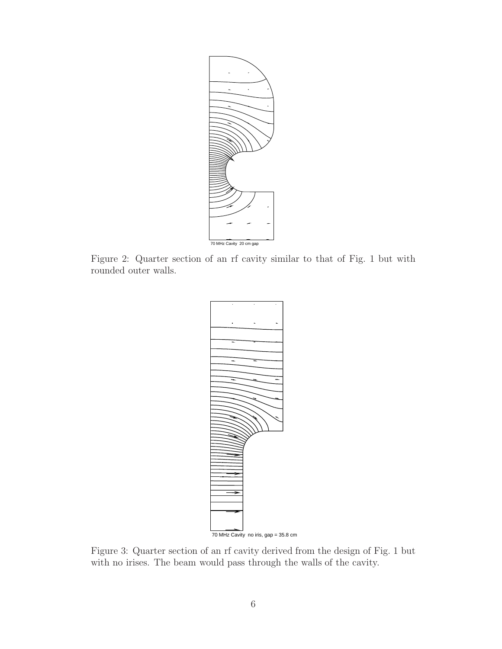

Figure 2: Quarter section of an rf cavity similar to that of Fig. 1 but with rounded outer walls.



Figure 3: Quarter section of an rf cavity derived from the design of Fig. 1 but with no irises. The beam would pass through the walls of the cavity.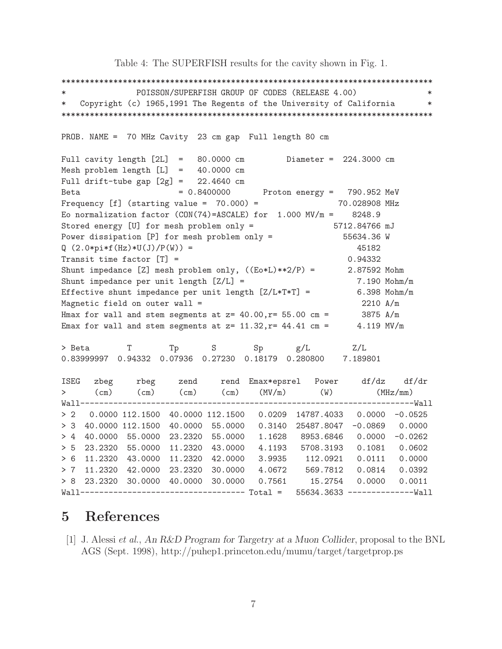Table 4: The SUPERFISH results for the cavity shown in Fig. 1.

\*\*\*\*\*\*\*\*\*\*\*\*\*\*\*\*\*\*\*\*\*\*\*\*\*\*\*\*\*\*\*\*\*\*\*\*\*\*\*\*\*\*\*\*\*\*\*\*\*\*\*\*\*\*\*\*\*\*\*\*\*\*\*\*\*\*\*\*\*\*\*\*\*\*\*\*\*\*\* \* POISSON/SUPERFISH GROUP OF CODES (RELEASE 4.00) \* \* Copyright (c) 1965,1991 The Regents of the University of California \* \*\*\*\*\*\*\*\*\*\*\*\*\*\*\*\*\*\*\*\*\*\*\*\*\*\*\*\*\*\*\*\*\*\*\*\*\*\*\*\*\*\*\*\*\*\*\*\*\*\*\*\*\*\*\*\*\*\*\*\*\*\*\*\*\*\*\*\*\*\*\*\*\*\*\*\*\*\*\* PROB. NAME = 70 MHz Cavity 23 cm gap Full length 80 cm Full cavity length [2L] = 80.0000 cm Diameter = 224.3000 cm Mesh problem length [L] = 40.0000 cm Full drift-tube gap  $[2g] = 22.4640$  cm Beta  $= 0.8400000$  Proton energy = 790.952 MeV Frequency  $[f]$  (starting value =  $70.000$ ) =  $70.028908$  MHz Eo normalization factor (CON(74)=ASCALE) for  $1.000 \text{ MV/m} = 8248.9$ Stored energy [U] for mesh problem only = 5712.84766 mJ Power dissipation [P] for mesh problem only = 55634.36 W  $Q(2.0*pi*f(Hz)*U(J)/P(W)) = 45182$ Transit time factor  $[T] =$  0.94332 Shunt impedance [Z] mesh problem only,  $((Eo * L) * * 2/P) =$  2.87592 Mohm Shunt impedance per unit length  $[Z/L]$  =  $7.190 \text{ Mohn/m}$ Effective shunt impedance per unit length  $[Z/L*T*T] = 6.398$  Mohm/m Magnetic field on outer wall  $=$  2210 A/m Hmax for wall and stem segments at  $z= 40.00$ ,  $r= 55.00$  cm = 3875 A/m Emax for wall and stem segments at  $z= 11.32$ ,  $r= 44.41$  cm = 4.119 MV/m > Beta T Tp S Sp g/L Z/L 0.83999997 0.94332 0.07936 0.27230 0.18179 0.280800 7.189801 ISEG zbeg rbeg zend rend Emax\*epsrel Power df/dz df/dr > (cm) (cm) (cm) (cm) (MV/m) (W) (MHz/mm) Wall-----------------------------------------------------------------------Wall > 2 0.0000 112.1500 40.0000 112.1500 0.0209 14787.4033 0.0000 -0.0525 > 3 40.0000 112.1500 40.0000 55.0000 0.3140 25487.8047 -0.0869 0.0000 > 4 40.0000 55.0000 23.2320 55.0000 1.1628 8953.6846 0.0000 -0.0262 > 5 23.2320 55.0000 11.2320 43.0000 4.1193 5708.3193 0.1081 0.0602 > 6 11.2320 43.0000 11.2320 42.0000 3.9935 112.0921 0.0111 0.0000 > 7 11.2320 42.0000 23.2320 30.0000 4.0672 569.7812 0.0814 0.0392 > 8 23.2320 30.0000 40.0000 30.0000 0.7561 15.2754 0.0000 0.0011 Wall----------------------------------- Total = 55634.3633 --------------Wall

# **5 References**

[1] J. Alessi *et al.*, *An R&D Program for Targetry at a Muon Collider*, proposal to the BNL AGS (Sept. 1998), http://puhep1.princeton.edu/mumu/target/targetprop.ps